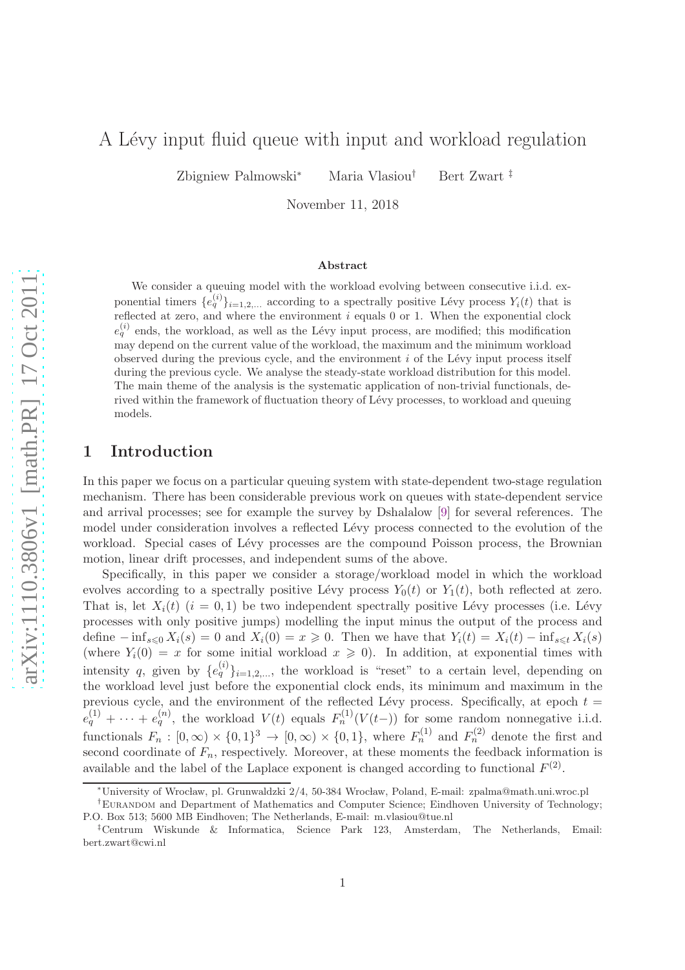# A Lévy input fluid queue with input and workload regulation

Zbigniew Palmowski<sup>∗</sup> Maria Vlasiou† Bert Zwart ‡

November 11, 2018

#### Abstract

We consider a queuing model with the workload evolving between consecutive i.i.d. exponential timers  $\{e_q^{(i)}\}_{i=1,2,...}$  according to a spectrally positive Lévy process  $Y_i(t)$  that is reflected at zero, and where the environment  $i$  equals 0 or 1. When the exponential clock  $e_q^{(i)}$  ends, the workload, as well as the Lévy input process, are modified; this modification may depend on the current value of the workload, the maximum and the minimum workload observed during the previous cycle, and the environment  $i$  of the Lévy input process itself during the previous cycle. We analyse the steady-state workload distribution for this model. The main theme of the analysis is the systematic application of non-trivial functionals, derived within the framework of fluctuation theory of Lévy processes, to workload and queuing models.

### 1 Introduction

In this paper we focus on a particular queuing system with state-dependent two-stage regulation mechanism. There has been considerable previous work on queues with state-dependent service and arrival processes; see for example the survey by Dshalalow [\[9\]](#page-15-0) for several references. The model under consideration involves a reflected Lévy process connected to the evolution of the workload. Special cases of Lévy processes are the compound Poisson process, the Brownian motion, linear drift processes, and independent sums of the above.

Specifically, in this paper we consider a storage/workload model in which the workload evolves according to a spectrally positive Lévy process  $Y_0(t)$  or  $Y_1(t)$ , both reflected at zero. That is, let  $X_i(t)$   $(i = 0, 1)$  be two independent spectrally positive Lévy processes (i.e. Lévy processes with only positive jumps) modelling the input minus the output of the process and define  $-\inf_{s\leq 0} X_i(s) = 0$  and  $X_i(0) = x \geq 0$ . Then we have that  $Y_i(t) = X_i(t) - \inf_{s\leq t} X_i(s)$ (where  $Y_i(0) = x$  for some initial workload  $x \ge 0$ ). In addition, at exponential times with intensity q, given by  $\{e_q^{(i)}\}_{i=1,2,...}$ , the workload is "reset" to a certain level, depending on the workload level just before the exponential clock ends, its minimum and maximum in the previous cycle, and the environment of the reflected Lévy process. Specifically, at epoch  $t =$  $e_q^{(1)} + \cdots + e_q^{(n)}$ , the workload  $V(t)$  equals  $F_n^{(1)}(V(t-))$  for some random nonnegative i.i.d. functionals  $F_n : [0, \infty) \times \{0, 1\}^3 \to [0, \infty) \times \{0, 1\}$ , where  $F_n^{(1)}$  and  $F_n^{(2)}$  denote the first and second coordinate of  $F_n$ , respectively. Moreover, at these moments the feedback information is available and the label of the Laplace exponent is changed according to functional  $F^{(2)}$ .

<sup>∗</sup>University of Wroc law, pl. Grunwaldzki 2/4, 50-384 Wroc law, Poland, E-mail: zpalma@math.uni.wroc.pl

<sup>&</sup>lt;sup>†</sup>EURANDOM and Department of Mathematics and Computer Science; Eindhoven University of Technology; P.O. Box 513; 5600 MB Eindhoven; The Netherlands, E-mail: m.vlasiou@tue.nl

<sup>‡</sup>Centrum Wiskunde & Informatica, Science Park 123, Amsterdam, The Netherlands, Email: bert.zwart@cwi.nl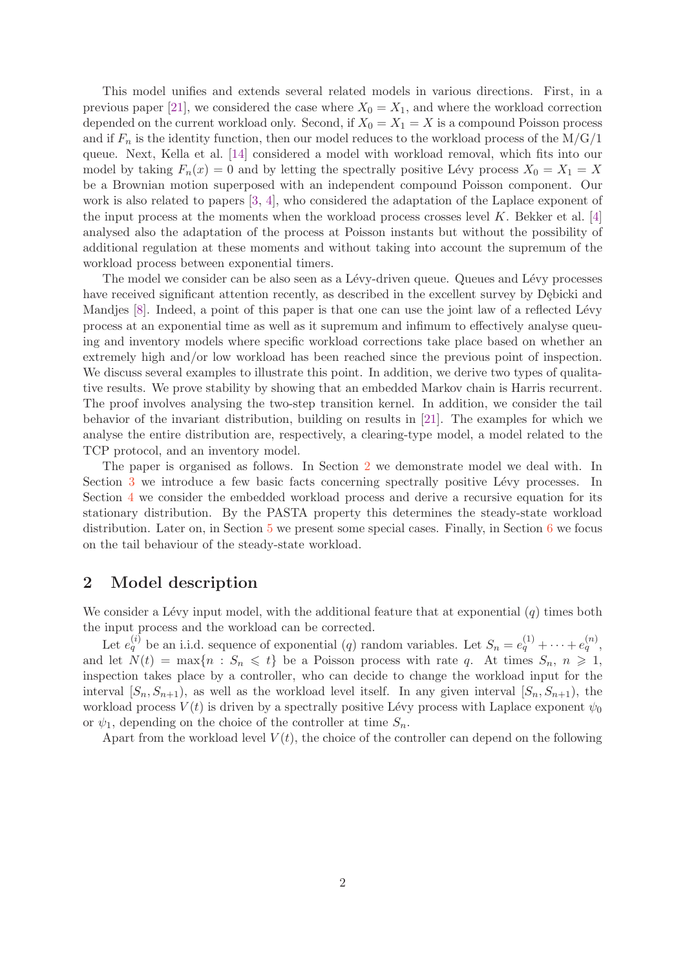This model unifies and extends several related models in various directions. First, in a previous paper [\[21\]](#page-16-0), we considered the case where  $X_0 = X_1$ , and where the workload correction depended on the current workload only. Second, if  $X_0 = X_1 = X$  is a compound Poisson process and if  $F_n$  is the identity function, then our model reduces to the workload process of the  $M/G/1$ queue. Next, Kella et al. [\[14\]](#page-15-1) considered a model with workload removal, which fits into our model by taking  $F_n(x) = 0$  and by letting the spectrally positive Lévy process  $X_0 = X_1 = X$ be a Brownian motion superposed with an independent compound Poisson component. Our work is also related to papers [\[3,](#page-15-2) [4\]](#page-15-3), who considered the adaptation of the Laplace exponent of the input process at the moments when the workload process crosses level  $K$ . Bekker et al. [\[4\]](#page-15-3) analysed also the adaptation of the process at Poisson instants but without the possibility of additional regulation at these moments and without taking into account the supremum of the workload process between exponential timers.

The model we consider can be also seen as a Lévy-driven queue. Queues and Lévy processes have received significant attention recently, as described in the excellent survey by Dębicki and Mandjes [\[8\]](#page-15-4). Indeed, a point of this paper is that one can use the joint law of a reflected Lévy process at an exponential time as well as it supremum and infimum to effectively analyse queuing and inventory models where specific workload corrections take place based on whether an extremely high and/or low workload has been reached since the previous point of inspection. We discuss several examples to illustrate this point. In addition, we derive two types of qualitative results. We prove stability by showing that an embedded Markov chain is Harris recurrent. The proof involves analysing the two-step transition kernel. In addition, we consider the tail behavior of the invariant distribution, building on results in [\[21\]](#page-16-0). The examples for which we analyse the entire distribution are, respectively, a clearing-type model, a model related to the TCP protocol, and an inventory model.

The paper is organised as follows. In Section [2](#page-1-0) we demonstrate model we deal with. In Section [3](#page-3-0) we introduce a few basic facts concerning spectrally positive Lévy processes. In Section [4](#page-6-0) we consider the embedded workload process and derive a recursive equation for its stationary distribution. By the PASTA property this determines the steady-state workload distribution. Later on, in Section  $5$  we present some special cases. Finally, in Section  $6$  we focus on the tail behaviour of the steady-state workload.

# <span id="page-1-0"></span>2 Model description

We consider a Lévy input model, with the additional feature that at exponential  $(q)$  times both the input process and the workload can be corrected.

Let  $e_q^{(i)}$  be an i.i.d. sequence of exponential  $(q)$  random variables. Let  $S_n = e_q^{(1)} + \cdots + e_q^{(n)}$ , and let  $N(t) = \max\{n : S_n \leq t\}$  be a Poisson process with rate q. At times  $S_n, n \geq 1$ , inspection takes place by a controller, who can decide to change the workload input for the interval  $[S_n, S_{n+1}),$  as well as the workload level itself. In any given interval  $[S_n, S_{n+1}),$  the workload process  $V(t)$  is driven by a spectrally positive Lévy process with Laplace exponent  $\psi_0$ or  $\psi_1$ , depending on the choice of the controller at time  $S_n$ .

Apart from the workload level  $V(t)$ , the choice of the controller can depend on the following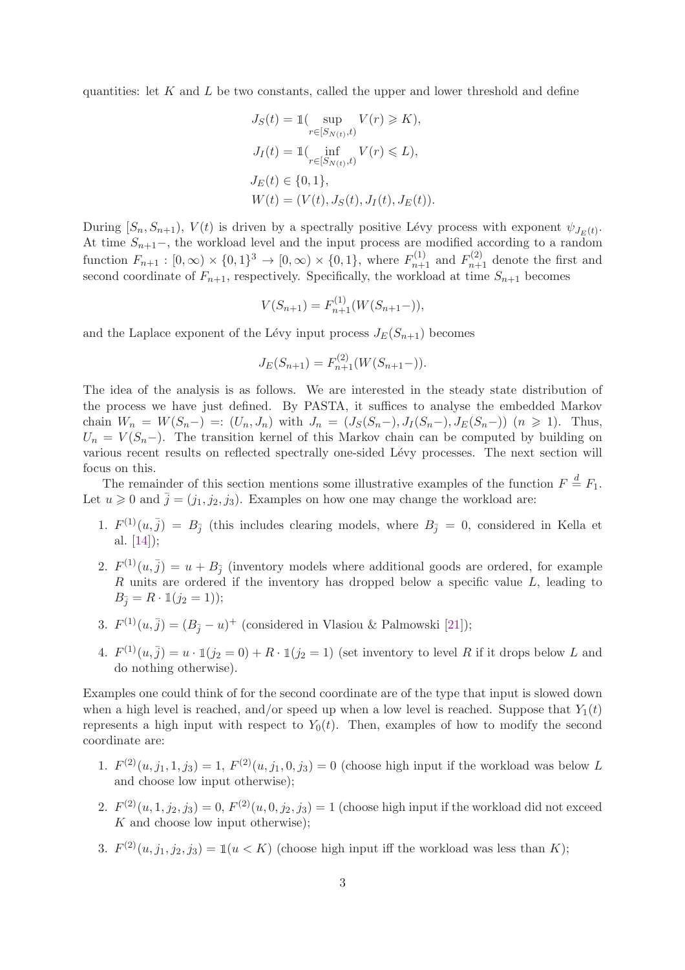quantities: let  $K$  and  $L$  be two constants, called the upper and lower threshold and define

$$
J_S(t) = \mathbb{1}(\sup_{r \in [S_{N(t)}, t)} V(r) \ge K),
$$
  
\n
$$
J_I(t) = \mathbb{1}(\inf_{r \in [S_{N(t)}, t)} V(r) \le L),
$$
  
\n
$$
J_E(t) \in \{0, 1\},
$$
  
\n
$$
W(t) = (V(t), J_S(t), J_I(t), J_E(t))
$$

During  $[S_n, S_{n+1}), V(t)$  is driven by a spectrally positive Lévy process with exponent  $\psi_{J_E(t)}$ . At time  $S_{n+1}$ –, the workload level and the input process are modified according to a random function  $F_{n+1} : [0, \infty) \times \{0, 1\}^3 \to [0, \infty) \times \{0, 1\}$ , where  $F_{n+1}^{(1)}$  and  $F_{n+1}^{(2)}$  denote the first and second coordinate of  $F_{n+1}$ , respectively. Specifically, the workload at time  $S_{n+1}$  becomes

$$
V(S_{n+1}) = F_{n+1}^{(1)}(W(S_{n+1}-)),
$$

and the Laplace exponent of the Lévy input process  $J_E(S_{n+1})$  becomes

$$
J_E(S_{n+1}) = F_{n+1}^{(2)}(W(S_{n+1}-)).
$$

The idea of the analysis is as follows. We are interested in the steady state distribution of the process we have just defined. By PASTA, it suffices to analyse the embedded Markov chain  $W_n = W(S_n-) =: (U_n, J_n)$  with  $J_n = (J_S(S_n-), J_I(S_n-), J_E(S_n-))$   $(n \geq 1)$ . Thus,  $U_n = V(S_n-)$ . The transition kernel of this Markov chain can be computed by building on various recent results on reflected spectrally one-sided Lévy processes. The next section will focus on this.

The remainder of this section mentions some illustrative examples of the function  $F \stackrel{d}{=} F_1$ . Let  $u \geq 0$  and  $\overline{j} = (j_1, j_2, j_3)$ . Examples on how one may change the workload are:

- 1.  $F^{(1)}(u, \bar{j}) = B_{\bar{j}}$  (this includes clearing models, where  $B_{\bar{j}} = 0$ , considered in Kella et al. [\[14\]](#page-15-1));
- 2.  $F^{(1)}(u, \bar{j}) = u + B_{\bar{j}}$  (inventory models where additional goods are ordered, for example R units are ordered if the inventory has dropped below a specific value L, leading to  $B_{\bar{i}} = R \cdot \mathbb{1}(j_2 = 1));$
- 3.  $F^{(1)}(u, \bar{j}) = (B_{\bar{j}} u)^+$  (considered in Vlasiou & Palmowski [\[21\]](#page-16-0));
- 4.  $F^{(1)}(u, \bar{j}) = u \cdot \mathbb{1}(j_2 = 0) + R \cdot \mathbb{1}(j_2 = 1)$  (set inventory to level R if it drops below L and do nothing otherwise).

Examples one could think of for the second coordinate are of the type that input is slowed down when a high level is reached, and/or speed up when a low level is reached. Suppose that  $Y_1(t)$ represents a high input with respect to  $Y_0(t)$ . Then, examples of how to modify the second coordinate are:

- 1.  $F^{(2)}(u, j_1, 1, j_3) = 1$ ,  $F^{(2)}(u, j_1, 0, j_3) = 0$  (choose high input if the workload was below L and choose low input otherwise);
- 2.  $F^{(2)}(u,1,j_2,j_3) = 0, F^{(2)}(u,0,j_2,j_3) = 1$  (choose high input if the workload did not exceed  $K$  and choose low input otherwise);
- 3.  $F^{(2)}(u, j_1, j_2, j_3) = \mathbb{1}(u \lt K)$  (choose high input iff the workload was less than K);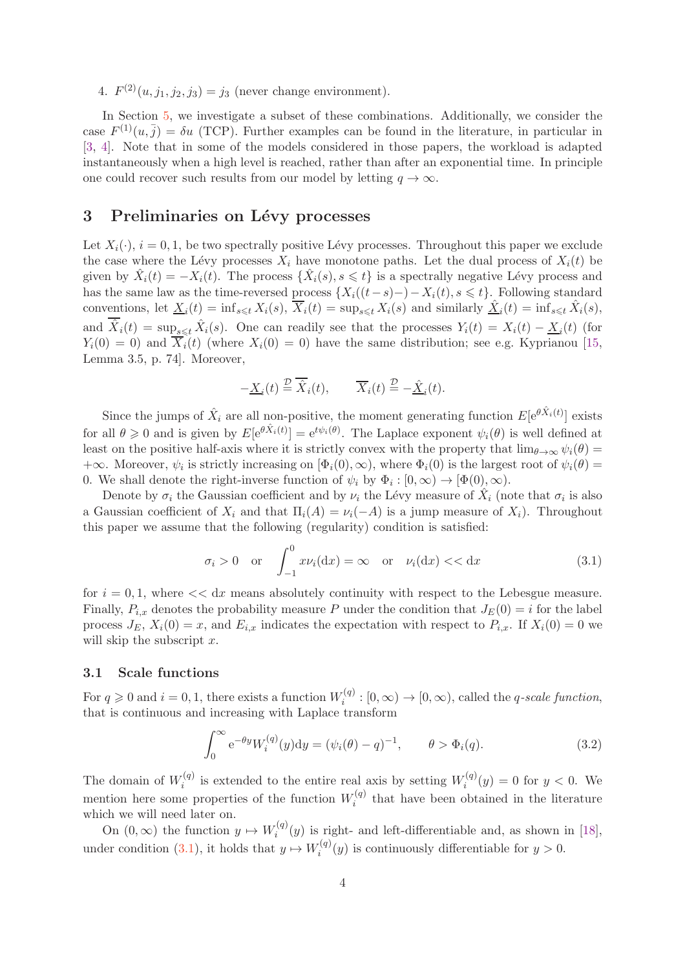4.  $F^{(2)}(u, j_1, j_2, j_3) = j_3$  (never change environment).

In Section [5,](#page-8-0) we investigate a subset of these combinations. Additionally, we consider the case  $F^{(1)}(u, \bar{j}) = \delta u$  (TCP). Further examples can be found in the literature, in particular in [\[3,](#page-15-2) [4\]](#page-15-3). Note that in some of the models considered in those papers, the workload is adapted instantaneously when a high level is reached, rather than after an exponential time. In principle one could recover such results from our model by letting  $q \to \infty$ .

# <span id="page-3-0"></span>3 Preliminaries on Lévy processes

Let  $X_i(\cdot)$ ,  $i = 0, 1$ , be two spectrally positive Lévy processes. Throughout this paper we exclude the case where the Lévy processes  $X_i$  have monotone paths. Let the dual process of  $X_i(t)$  be given by  $\hat{X}_i(t) = -X_i(t)$ . The process  $\{\hat{X}_i(s), s \leq t\}$  is a spectrally negative Lévy process and has the same law as the time-reversed process  $\{X_i((t-s)-)-X_i(t), s \leq t\}$ . Following standard conventions, let  $\underline{X}_i(t) = \inf_{s \leq t} X_i(s)$ ,  $\overline{X}_i(t) = \sup_{s \leq t} X_i(s)$  and similarly  $\underline{\hat{X}}_i(t) = \inf_{s \leq t} \hat{X}_i(s)$ , and  $\hat{X}_i(t) = \sup_{s \le t} \hat{X}_i(s)$ . One can readily see that the processes  $Y_i(t) = X_i(t) - \underline{X}_i(t)$  (for  $Y_i(0) = 0$ ) and  $\overline{X_i}(t)$  (where  $X_i(0) = 0$ ) have the same distribution; see e.g. Kyprianou [\[15,](#page-15-5) Lemma 3.5, p. 74]. Moreover,

$$
-\underline{X}_i(t) \stackrel{\mathcal{D}}{=} \overline{\hat{X}}_i(t), \qquad \overline{X}_i(t) \stackrel{\mathcal{D}}{=} -\underline{\hat{X}}_i(t).
$$

Since the jumps of  $\hat{X}_i$  are all non-positive, the moment generating function  $E[e^{\theta \hat{X}_i(t)}]$  exists for all  $\theta \geq 0$  and is given by  $E[e^{\theta \hat{X}_i(t)}] = e^{t\psi_i(\theta)}$ . The Laplace exponent  $\psi_i(\theta)$  is well defined at least on the positive half-axis where it is strictly convex with the property that  $\lim_{\theta\to\infty}\psi_i(\theta)$  $+\infty$ . Moreover,  $\psi_i$  is strictly increasing on  $[\Phi_i(0), \infty)$ , where  $\Phi_i(0)$  is the largest root of  $\psi_i(\theta)$  = 0. We shall denote the right-inverse function of  $\psi_i$  by  $\Phi_i : [0, \infty) \to [\Phi(0), \infty)$ .

Denote by  $\sigma_i$  the Gaussian coefficient and by  $\nu_i$  the Lévy measure of  $\hat{X}_i$  (note that  $\sigma_i$  is also a Gaussian coefficient of  $X_i$  and that  $\Pi_i(A) = \nu_i(-A)$  is a jump measure of  $X_i$ ). Throughout this paper we assume that the following (regularity) condition is satisfied:

<span id="page-3-1"></span>
$$
\sigma_i > 0 \quad \text{or} \quad \int_{-1}^0 x \nu_i(\mathrm{d}x) = \infty \quad \text{or} \quad \nu_i(\mathrm{d}x) << \mathrm{d}x \tag{3.1}
$$

for  $i = 0, 1$ , where  $<< dx$  means absolutely continuity with respect to the Lebesgue measure. Finally,  $P_{i,x}$  denotes the probability measure P under the condition that  $J_E(0) = i$  for the label process  $J_E$ ,  $X_i(0) = x$ , and  $E_{i,x}$  indicates the expectation with respect to  $P_{i,x}$ . If  $X_i(0) = 0$  we will skip the subscript  $x$ .

#### 3.1 Scale functions

For  $q \ge 0$  and  $i = 0, 1$ , there exists a function  $W_i^{(q)}$  $i_i^{(q)}:[0,\infty) \to [0,\infty)$ , called the *q-scale function*, that is continuous and increasing with Laplace transform

$$
\int_0^\infty e^{-\theta y} W_i^{(q)}(y) dy = (\psi_i(\theta) - q)^{-1}, \qquad \theta > \Phi_i(q). \tag{3.2}
$$

The domain of  $W_i^{(q)}$  $i^{(q)}$  is extended to the entire real axis by setting  $W_i^{(q)}$  $i^{(q)}(y) = 0$  for  $y < 0$ . We mention here some properties of the function  $W_i^{(q)}$  $i^{(q)}$  that have been obtained in the literature which we will need later on.

On  $(0, \infty)$  the function  $y \mapsto W_i^{(q)}$  $i^{(q)}(y)$  is right- and left-differentiable and, as shown in [\[18\]](#page-16-1), under condition [\(3.1\)](#page-3-1), it holds that  $y \mapsto W_i^{(q)}$  $i^{(q)}(y)$  is continuously differentiable for  $y > 0$ .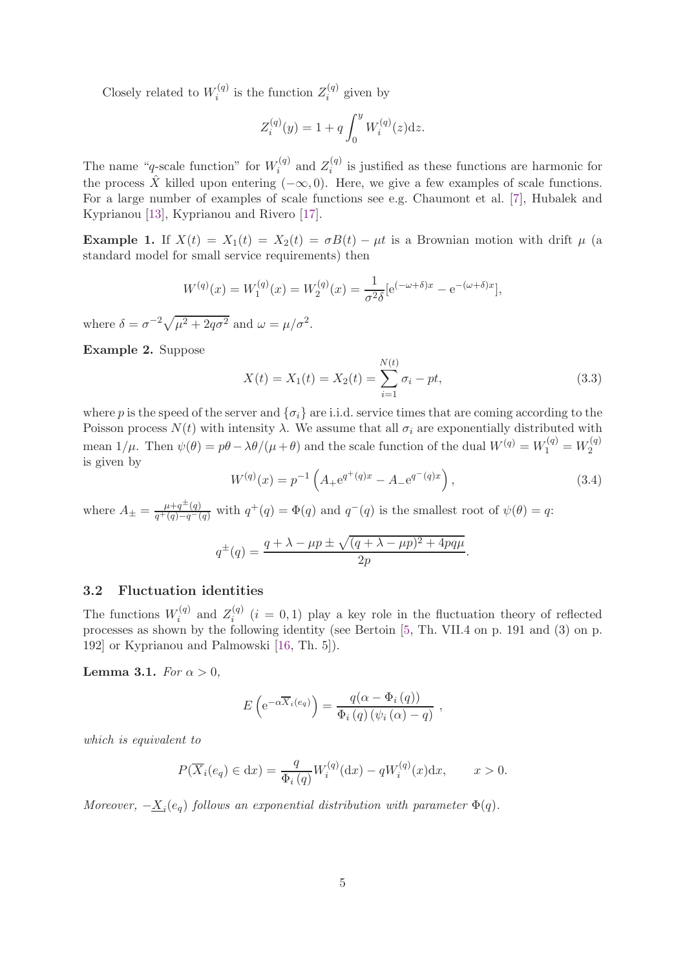Closely related to  $W_i^{(q)}$  $z_i^{(q)}$  is the function  $Z_i^{(q)}$  $i^{(q)}$  given by

$$
Z_i^{(q)}(y) = 1 + q \int_0^y W_i^{(q)}(z) dz.
$$

The name "q-scale function" for  $W_i^{(q)}$  $z_i^{(q)}$  and  $Z_i^{(q)}$  $i^{(q)}$  is justified as these functions are harmonic for the process  $\hat{X}$  killed upon entering  $(-\infty, 0)$ . Here, we give a few examples of scale functions. For a large number of examples of scale functions see e.g. Chaumont et al. [\[7\]](#page-15-6), Hubalek and Kyprianou [\[13\]](#page-15-7), Kyprianou and Rivero [\[17\]](#page-16-2).

**Example 1.** If  $X(t) = X_1(t) = X_2(t) = \sigma B(t) - \mu t$  is a Brownian motion with drift  $\mu$  (a standard model for small service requirements) then

$$
W^{(q)}(x) = W_1^{(q)}(x) = W_2^{(q)}(x) = \frac{1}{\sigma^2 \delta} [e^{(-\omega + \delta)x} - e^{-(\omega + \delta)x}],
$$

where  $\delta = \sigma^{-2} \sqrt{\mu^2 + 2q\sigma^2}$  and  $\omega = \mu/\sigma^2$ .

<span id="page-4-2"></span>Example 2. Suppose

<span id="page-4-0"></span>
$$
X(t) = X_1(t) = X_2(t) = \sum_{i=1}^{N(t)} \sigma_i - pt,
$$
\n(3.3)

where p is the speed of the server and  $\{\sigma_i\}$  are i.i.d. service times that are coming according to the Poisson process  $N(t)$  with intensity  $\lambda$ . We assume that all  $\sigma_i$  are exponentially distributed with mean  $1/\mu$ . Then  $\psi(\theta) = p\theta - \lambda \theta/(\mu + \theta)$  and the scale function of the dual  $W^{(q)} = W_1^{(q)} = W_2^{(q)}$ 2 is given by

<span id="page-4-1"></span>
$$
W^{(q)}(x) = p^{-1} \left( A_{+} e^{q^{+}(q)x} - A_{-} e^{q^{-}(q)x} \right),
$$
\n(3.4)

where  $A_{\pm} = \frac{\mu + q^{\pm}(q)}{q^+(q) - q^-}$  $\frac{\mu+q^{\perp}(q)}{q^+(q)-q^-(q)}$  with  $q^+(q) = \Phi(q)$  and  $q^-(q)$  is the smallest root of  $\psi(\theta) = q$ :

$$
q^{\pm}(q) = \frac{q + \lambda - \mu p \pm \sqrt{(q + \lambda - \mu p)^2 + 4pq\mu}}{2p}.
$$

#### 3.2 Fluctuation identities

The functions  $W_i^{(q)}$  $z_i^{(q)}$  and  $Z_i^{(q)}$  $i^{(q)}$   $(i = 0, 1)$  play a key role in the fluctuation theory of reflected processes as shown by the following identity (see Bertoin [\[5,](#page-15-8) Th. VII.4 on p. 191 and (3) on p. 192] or Kyprianou and Palmowski [\[16,](#page-15-9) Th. 5]).

Lemma 3.1. *For*  $\alpha > 0$ ,

$$
E\left(e^{-\alpha \overline{X}_i(e_q)}\right) = \frac{q(\alpha - \Phi_i(q))}{\Phi_i(q)\left(\psi_i(\alpha) - q\right)} ,
$$

*which is equivalent to*

$$
P(\overline{X}_i(e_q) \in dx) = \frac{q}{\Phi_i(q)} W_i^{(q)}(dx) - qW_i^{(q)}(x)dx, \qquad x > 0.
$$

*Moreover,*  $-\underline{X}_i(e_q)$  *follows an exponential distribution with parameter*  $\Phi(q)$ *.*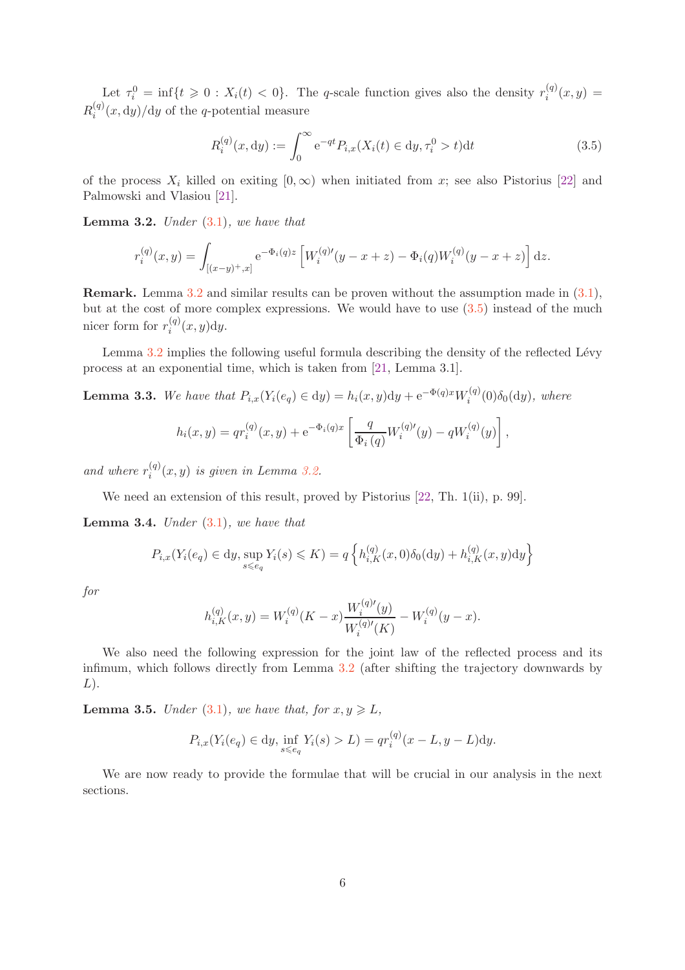Let  $\tau_i^0 = \inf\{t \geq 0 : X_i(t) < 0\}$ . The q-scale function gives also the density  $r_i^{(q)}$  $i^{(q)}(x,y) =$  $R_i^{(q)}$  $i^{(q)}(x, dy)/dy$  of the q-potential measure

<span id="page-5-1"></span>
$$
R_i^{(q)}(x, dy) := \int_0^\infty e^{-qt} P_{i,x}(X_i(t) \in dy, \tau_i^0 > t) dt
$$
\n(3.5)

of the process  $X_i$  killed on exiting  $[0,\infty)$  when initiated from x; see also Pistorius [\[22\]](#page-16-3) and Palmowski and Vlasiou [\[21\]](#page-16-0).

<span id="page-5-0"></span>Lemma 3.2. *Under* [\(3.1\)](#page-3-1)*, we have that*

$$
r_i^{(q)}(x,y) = \int_{[(x-y)^+,x]} e^{-\Phi_i(q)z} \left[ W_i^{(q)'}(y-x+z) - \Phi_i(q) W_i^{(q)}(y-x+z) \right] dz.
$$

Remark. Lemma [3.2](#page-5-0) and similar results can be proven without the assumption made in [\(3.1\)](#page-3-1), but at the cost of more complex expressions. We would have to use  $(3.5)$  instead of the much nicer form for  $r_i^{(q)}$  $\int_i^{(q)} (x, y) dy.$ 

Lemma  $3.2$  implies the following useful formula describing the density of the reflected Lévy process at an exponential time, which is taken from [\[21,](#page-16-0) Lemma 3.1].

**Lemma 3.3.** *We have that*  $P_{i,x}(Y_i(e_q) \in dy) = h_i(x, y)dy + e^{-\Phi(q)x}W_i^{(q)}$  $\delta_i^{(q)}(0)\delta_0(\mathrm{d}y)$ , where

$$
h_i(x,y) = qr_i^{(q)}(x,y) + e^{-\Phi_i(q)x} \left[ \frac{q}{\Phi_i(q)} W_i^{(q)\prime}(y) - qW_i^{(q)}(y) \right],
$$

and where  $r_i^{(q)}$  $i_j^{(q)}(x, y)$  *is given in Lemma [3.2.](#page-5-0)* 

We need an extension of this result, proved by Pistorius [\[22,](#page-16-3) Th. 1(ii), p. 99].

Lemma 3.4. *Under* [\(3.1\)](#page-3-1)*, we have that*

$$
P_{i,x}(Y_i(e_q) \in dy, \sup_{s \le e_q} Y_i(s) \le K) = q \left\{ h_{i,K}^{(q)}(x,0) \delta_0(\mathrm{d}y) + h_{i,K}^{(q)}(x,y) \mathrm{d}y \right\}
$$

*for*

$$
h_{i,K}^{(q)}(x,y) = W_i^{(q)}(K-x) \frac{W_i^{(q)\prime}(y)}{W_i^{(q)\prime}(K)} - W_i^{(q)}(y-x).
$$

We also need the following expression for the joint law of the reflected process and its infimum, which follows directly from Lemma [3.2](#page-5-0) (after shifting the trajectory downwards by  $L$ ).

**Lemma 3.5.** *Under* [\(3.1\)](#page-3-1)*, we have that, for*  $x, y \geq L$ *,* 

$$
P_{i,x}(Y_i(e_q) \in dy, \inf_{s \le e_q} Y_i(s) > L) = qr_i^{(q)}(x - L, y - L)dy.
$$

We are now ready to provide the formulae that will be crucial in our analysis in the next sections.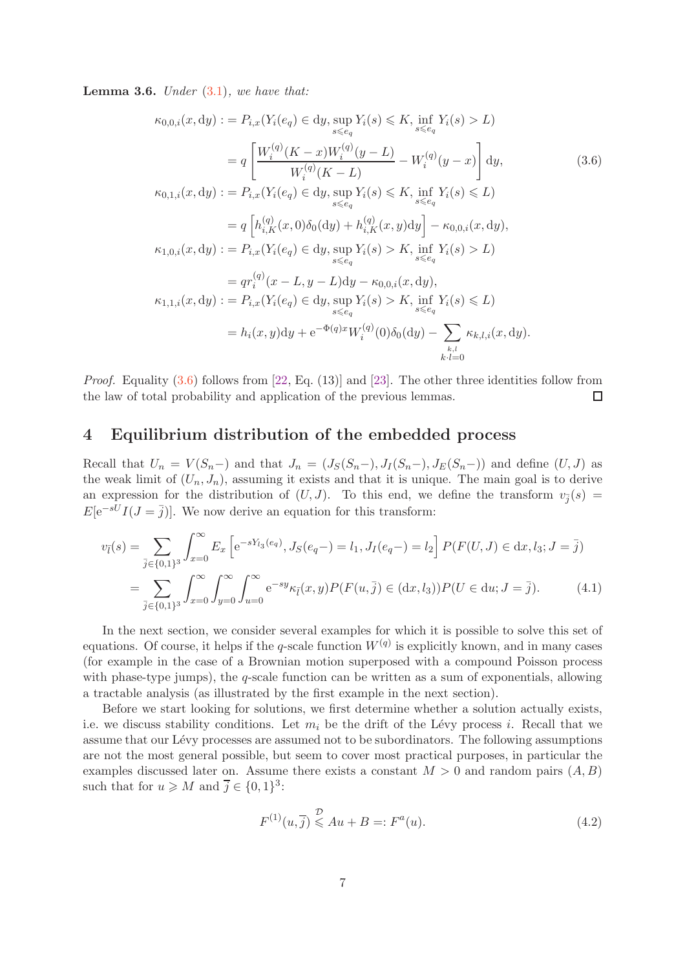<span id="page-6-3"></span>Lemma 3.6. *Under* [\(3.1\)](#page-3-1)*, we have that:*

<span id="page-6-1"></span>
$$
\kappa_{0,0,i}(x,dy) := P_{i,x}(Y_i(e_q) \in dy, \sup_{s \leq e_q} Y_i(s) \leq K, \inf_{s \leq e_q} Y_i(s) > L)
$$
\n
$$
= q \left[ \frac{W_i^{(q)}(K - x)W_i^{(q)}(y - L)}{W_i^{(q)}(K - L)} - W_i^{(q)}(y - x) \right] dy, \tag{3.6}
$$
\n
$$
\kappa_{0,1,i}(x,dy) := P_{i,x}(Y_i(e_q) \in dy, \sup_{s \leq e_q} Y_i(s) \leq K, \inf_{s \leq e_q} Y_i(s) \leq L)
$$
\n
$$
= q \left[ h_{i,K}^{(q)}(x,0)\delta_0(dy) + h_{i,K}^{(q)}(x,y)dy \right] - \kappa_{0,0,i}(x,dy),
$$
\n
$$
\kappa_{1,0,i}(x,dy) := P_{i,x}(Y_i(e_q) \in dy, \sup_{s \leq e_q} Y_i(s) > K, \inf_{s \leq e_q} Y_i(s) > L)
$$
\n
$$
= qr_i^{(q)}(x - L, y - L)dy - \kappa_{0,0,i}(x,dy),
$$
\n
$$
\kappa_{1,1,i}(x,dy) := P_{i,x}(Y_i(e_q) \in dy, \sup_{s \leq e_q} Y_i(s) > K, \inf_{s \leq e_q} Y_i(s) \leq L)
$$
\n
$$
= h_i(x,y)dy + e^{-\Phi(q)x}W_i^{(q)}(0)\delta_0(dy) - \sum_{k,l=0}^{k,l} \kappa_{k,l,i}(x,dy).
$$
\n(A.11)

*Proof.* Equality [\(3.6\)](#page-6-1) follows from [\[22,](#page-16-3) Eq. (13)] and [\[23\]](#page-16-4). The other three identities follow from the law of total probability and application of the previous lemmas.  $\Box$ 

# <span id="page-6-0"></span>4 Equilibrium distribution of the embedded process

Recall that  $U_n = V(S_n-)$  and that  $J_n = (J_S(S_n-), J_I(S_n-), J_E(S_n-))$  and define  $(U, J)$  as the weak limit of  $(U_n, J_n)$ , assuming it exists and that it is unique. The main goal is to derive an expression for the distribution of  $(U, J)$ . To this end, we define the transform  $v_{\overline{j}}(s) =$  $E[e^{-sU}I(J=\overline{j})]$ . We now derive an equation for this transform:

$$
v_{\bar{l}}(s) = \sum_{\bar{j} \in \{0,1\}^3} \int_{x=0}^{\infty} E_x \left[ e^{-sY_{l_3}(e_q)}, J_S(e_q-) = l_1, J_I(e_q-) = l_2 \right] P(F(U, J) \in dx, l_3; J = \bar{j})
$$
  

$$
= \sum_{\bar{j} \in \{0,1\}^3} \int_{x=0}^{\infty} \int_{y=0}^{\infty} \int_{u=0}^{\infty} e^{-sy} \kappa_{\bar{l}}(x, y) P(F(u, \bar{j}) \in (dx, l_3)) P(U \in du; J = \bar{j}). \tag{4.1}
$$

In the next section, we consider several examples for which it is possible to solve this set of equations. Of course, it helps if the q-scale function  $W^{(q)}$  is explicitly known, and in many cases (for example in the case of a Brownian motion superposed with a compound Poisson process with phase-type jumps), the  $q$ -scale function can be written as a sum of exponentials, allowing a tractable analysis (as illustrated by the first example in the next section).

Before we start looking for solutions, we first determine whether a solution actually exists, i.e. we discuss stability conditions. Let  $m_i$  be the drift of the Lévy process i. Recall that we assume that our Lévy processes are assumed not to be subordinators. The following assumptions are not the most general possible, but seem to cover most practical purposes, in particular the examples discussed later on. Assume there exists a constant  $M > 0$  and random pairs  $(A, B)$ such that for  $u \geqslant M$  and  $\overline{j} \in \{0,1\}^3$ :

<span id="page-6-2"></span>
$$
F^{(1)}(u,\overline{j}) \stackrel{\mathcal{D}}{\leq} Au + B =: F^{a}(u). \tag{4.2}
$$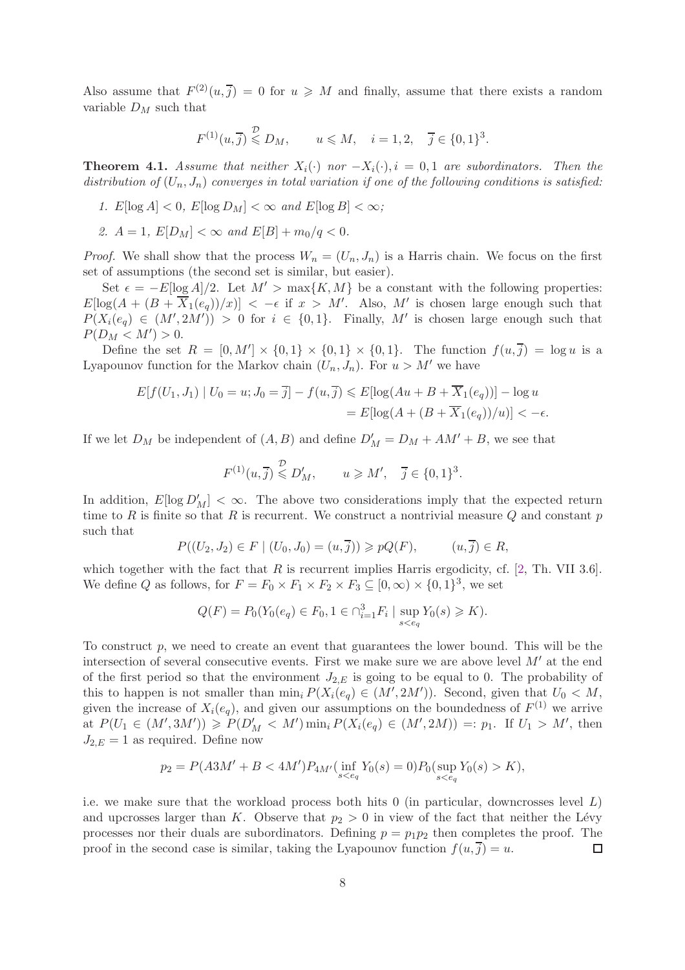Also assume that  $F^{(2)}(u, \overline{j}) = 0$  for  $u \geq N$  and finally, assume that there exists a random variable  $D_M$  such that

$$
F^{(1)}(u,\overline{j}) \overset{\mathcal{D}}{\leq} D_M, \qquad u \leq M, \quad i = 1,2, \quad \overline{j} \in \{0,1\}^3.
$$

**Theorem 4.1.** *Assume that neither*  $X_i(\cdot)$  *nor*  $-X_i(\cdot), i = 0, 1$  *are subordinators. Then the* distribution of  $(U_n, J_n)$  converges in total variation if one of the following conditions is satisfied:

- 1.  $E[\log A] < 0$ ,  $E[\log D_M] < \infty$  and  $E[\log B] < \infty$ ;
- 2.  $A = 1$ ,  $E[D_M] < \infty$  and  $E[B] + m_0/q < 0$ .

*Proof.* We shall show that the process  $W_n = (U_n, J_n)$  is a Harris chain. We focus on the first set of assumptions (the second set is similar, but easier).

Set  $\epsilon = -E[\log A]/2$ . Let  $M' > \max\{K, M\}$  be a constant with the following properties:  $E[\log(A + (B + \overline{X}_1(e_q))/x)] < -\epsilon$  if  $x > M'$ . Also, M' is chosen large enough such that  $P(X_i(e_q) \in (M', 2M')) > 0$  for  $i \in \{0, 1\}$ . Finally, M' is chosen large enough such that  $P(D_M < M') > 0.$ 

Define the set  $R = [0, M'] \times \{0, 1\} \times \{0, 1\} \times \{0, 1\}$ . The function  $f(u, \overline{j}) = \log u$  is a Lyapounov function for the Markov chain  $(U_n, J_n)$ . For  $u > M'$  we have

$$
E[f(U_1, J_1) | U_0 = u; J_0 = \overline{j}] - f(u, \overline{j}) \le E[\log(Au + B + \overline{X}_1(e_q))] - \log u
$$
  
= 
$$
E[\log(A + (B + \overline{X}_1(e_q))/u)] < -\epsilon.
$$

If we let  $D_M$  be independent of  $(A, B)$  and define  $D'_M = D_M + AM' + B$ , we see that

$$
F^{(1)}(u,\overline{j}) \overset{\mathcal{D}}{\leqslant} D'_M, \qquad u \geqslant M', \quad \overline{j} \in \{0,1\}^3.
$$

In addition,  $E[\log D'_{M}] < \infty$ . The above two considerations imply that the expected return time to R is finite so that R is recurrent. We construct a nontrivial measure  $Q$  and constant  $p$ such that

$$
P((U_2, J_2) \in F | (U_0, J_0) = (u, \overline{j})) \geqslant pQ(F), \qquad (u, \overline{j}) \in R,
$$

which together with the fact that  $R$  is recurrent implies Harris ergodicity, cf. [\[2,](#page-15-10) Th. VII 3.6]. We define Q as follows, for  $F = F_0 \times F_1 \times F_2 \times F_3 \subseteq [0, \infty) \times \{0, 1\}^3$ , we set

$$
Q(F) = P_0(Y_0(e_q) \in F_0, 1 \in \cap_{i=1}^3 F_i \mid \sup_{s < e_q} Y_0(s) \ge K).
$$

To construct p, we need to create an event that guarantees the lower bound. This will be the intersection of several consecutive events. First we make sure we are above level  $M'$  at the end of the first period so that the environment  $J_{2,E}$  is going to be equal to 0. The probability of this to happen is not smaller than  $\min_i P(X_i(e_q) \in (M', 2M'))$ . Second, given that  $U_0 \lt M$ , given the increase of  $X_i(e_q)$ , and given our assumptions on the boundedness of  $F^{(1)}$  we arrive at  $P(U_1 \in (M', 3M')) \ge P(D'_M < M') \min_i P(X_i(e_q) \in (M', 2M)) =: p_1$ . If  $U_1 > M'$ , then  $J_{2,E} = 1$  as required. Define now

$$
p_2 = P(A3M' + B < 4M')P_{4M'}(\inf_{s < e_q} Y_0(s) = 0)P_0(\sup_{s < e_q} Y_0(s) > K),
$$

i.e. we make sure that the workload process both hits  $0$  (in particular, downcrosses level  $L$ ) and upcrosses larger than K. Observe that  $p_2 > 0$  in view of the fact that neither the Lévy processes nor their duals are subordinators. Defining  $p = p_1p_2$  then completes the proof. The proof in the second case is similar, taking the Lyapounov function  $f(u, j) = u$ .  $\Box$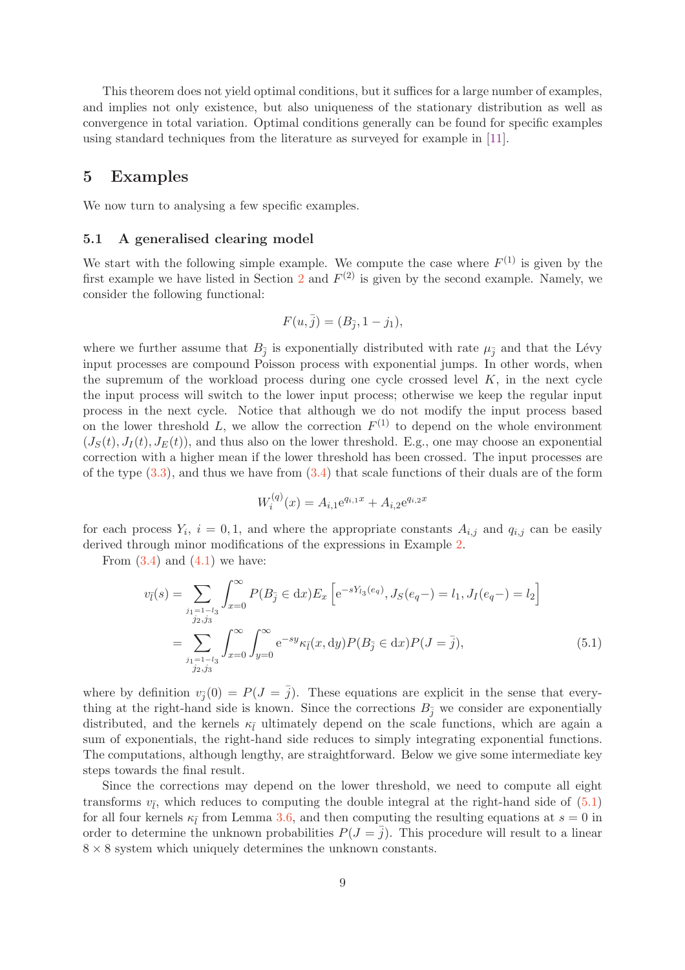This theorem does not yield optimal conditions, but it suffices for a large number of examples, and implies not only existence, but also uniqueness of the stationary distribution as well as convergence in total variation. Optimal conditions generally can be found for specific examples using standard techniques from the literature as surveyed for example in [\[11\]](#page-15-11).

### <span id="page-8-0"></span>5 Examples

We now turn to analysing a few specific examples.

#### 5.1 A generalised clearing model

We start with the following simple example. We compute the case where  $F^{(1)}$  is given by the first example we have listed in Section [2](#page-1-0) and  $F<sup>(2)</sup>$  is given by the second example. Namely, we consider the following functional:

$$
F(u, \bar{j}) = (B_{\bar{j}}, 1 - j_1),
$$

where we further assume that  $B_{\bar{j}}$  is exponentially distributed with rate  $\mu_{\bar{j}}$  and that the Lévy input processes are compound Poisson process with exponential jumps. In other words, when the supremum of the workload process during one cycle crossed level  $K$ , in the next cycle the input process will switch to the lower input process; otherwise we keep the regular input process in the next cycle. Notice that although we do not modify the input process based on the lower threshold L, we allow the correction  $F^{(1)}$  to depend on the whole environment  $(J<sub>S</sub>(t), J<sub>I</sub>(t), J<sub>E</sub>(t))$ , and thus also on the lower threshold. E.g., one may choose an exponential correction with a higher mean if the lower threshold has been crossed. The input processes are of the type  $(3.3)$ , and thus we have from  $(3.4)$  that scale functions of their duals are of the form

<span id="page-8-1"></span>
$$
W_i^{(q)}(x) = A_{i,1} e^{q_{i,1}x} + A_{i,2} e^{q_{i,2}x}
$$

for each process  $Y_i$ ,  $i = 0, 1$ , and where the appropriate constants  $A_{i,j}$  and  $q_{i,j}$  can be easily derived through minor modifications of the expressions in Example [2.](#page-4-2)

From  $(3.4)$  and  $(4.1)$  we have:

$$
v_{\bar{l}}(s) = \sum_{\substack{j_1=1-l_3 \ j_2,j_3}} \int_{x=0}^{\infty} P(B_{\bar{j}} \in dx) E_x \left[ e^{-sY_{l_3}(e_q)}, J_S(e_q-) = l_1, J_I(e_q-) = l_2 \right]
$$
  

$$
= \sum_{\substack{j_1=1-l_3 \ j_2,j_3}} \int_{x=0}^{\infty} \int_{y=0}^{\infty} e^{-sy} \kappa_{\bar{l}}(x, dy) P(B_{\bar{j}} \in dx) P(J = \bar{j}), \tag{5.1}
$$

where by definition  $v_{\bar{j}}(0) = P(J = \bar{j})$ . These equations are explicit in the sense that everything at the right-hand side is known. Since the corrections  $B_{\overline{i}}$  we consider are exponentially distributed, and the kernels  $\kappa_{\bar{l}}$  ultimately depend on the scale functions, which are again a sum of exponentials, the right-hand side reduces to simply integrating exponential functions. The computations, although lengthy, are straightforward. Below we give some intermediate key steps towards the final result.

Since the corrections may depend on the lower threshold, we need to compute all eight transforms  $v_{\bar{l}}$ , which reduces to computing the double integral at the right-hand side of  $(5.1)$ for all four kernels  $\kappa_{\bar{l}}$  from Lemma [3.6,](#page-6-3) and then computing the resulting equations at  $s = 0$  in order to determine the unknown probabilities  $P(J = \overline{j})$ . This procedure will result to a linear  $8 \times 8$  system which uniquely determines the unknown constants.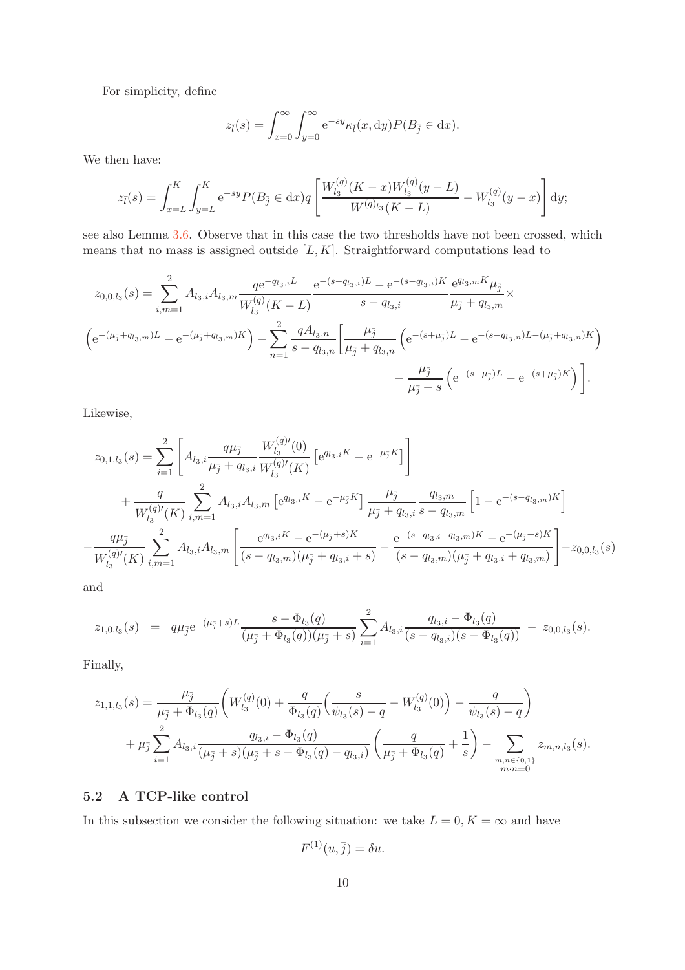For simplicity, define

$$
z_{\bar{l}}(s) = \int_{x=0}^{\infty} \int_{y=0}^{\infty} e^{-sy} \kappa_{\bar{l}}(x, dy) P(B_{\bar{j}} \in dx).
$$

We then have:

$$
z_{\bar{l}}(s) = \int_{x=L}^{K} \int_{y=L}^{K} e^{-sy} P(B_{\bar{j}} \in dx) q \left[ \frac{W_{l_3}^{(q)}(K-x)W_{l_3}^{(q)}(y-L)}{W^{(q)}_{l_3}(K-L)} - W_{l_3}^{(q)}(y-x) \right] dy;
$$

see also Lemma [3.6.](#page-6-3) Observe that in this case the two thresholds have not been crossed, which means that no mass is assigned outside  $[L, K]$ . Straightforward computations lead to

$$
z_{0,0,l_3}(s) = \sum_{i,m=1}^{2} A_{l_3,i} A_{l_3,m} \frac{q e^{-q_{l_3,i}L}}{W_{l_3}^{(q)}(K-L)} \frac{e^{-(s-q_{l_3,i})L} - e^{-(s-q_{l_3,i})K}}{s-q_{l_3,i}} \frac{e^{q_{l_3,m}K} \mu_{\tilde{j}}}{\mu_{\tilde{j}} + q_{l_3,m}} \times
$$
  
\n
$$
\left(e^{-(\mu_{\tilde{j}} + q_{l_3,m})L} - e^{-(\mu_{\tilde{j}} + q_{l_3,m})K}\right) - \sum_{n=1}^{2} \frac{q A_{l_3,n}}{s - q_{l_3,n}} \left[\frac{\mu_{\tilde{j}}}{\mu_{\tilde{j}} + q_{l_3,n}} \left(e^{-(s+\mu_{\tilde{j}})L} - e^{-(s-q_{l_3,n})L - (\mu_{\tilde{j}} + q_{l_3,n})K}\right) - \frac{\mu_{\tilde{j}}}{\mu_{\tilde{j}} + s} \left(e^{-(s+\mu_{\tilde{j}})L} - e^{-(s+\mu_{\tilde{j}})K}\right)\right].
$$

Likewise,

$$
z_{0,1,l_3}(s) = \sum_{i=1}^{2} \left[ A_{l_3,i} \frac{q\mu_{\tilde{j}}}{\mu_{\tilde{j}} + q_{l_3,i}} \frac{W_{l_3}^{(q)\prime}(0)}{W_{l_3}^{(q)\prime}(K)} \left[ e^{q_{l_3,i}K} - e^{-\mu_{\tilde{j}}K} \right] \right] + \frac{q}{W_{l_3}^{(q)\prime}(K)} \sum_{i,m=1}^{2} A_{l_3,i} A_{l_3,m} \left[ e^{q_{l_3,i}K} - e^{-\mu_{\tilde{j}}K} \right] \frac{\mu_{\tilde{j}}}{\mu_{\tilde{j}} + q_{l_3,i}} \frac{q_{l_3,m}}{s - q_{l_3,m}} \left[ 1 - e^{-(s - q_{l_3,m})K} \right] - \frac{q\mu_{\tilde{j}}}{W_{l_3}^{(q)\prime}(K)} \sum_{i,m=1}^{2} A_{l_3,i} A_{l_3,m} \left[ \frac{e^{q_{l_3,i}K} - e^{-(\mu_{\tilde{j}} + s)K}}{(s - q_{l_3,m})(\mu_{\tilde{j}} + q_{l_3,i} + s)} - \frac{e^{-(s - q_{l_3,i} - q_{l_3,m})K} - e^{-(\mu_{\tilde{j}} + s)K}}{(s - q_{l_3,m})(\mu_{\tilde{j}} + q_{l_3,i} + q_{l_3,m})} \right] - z_{0,0,l_3}(s)
$$

and

−

$$
z_{1,0,l_3}(s) = q\mu_{\bar{j}}e^{-(\mu_{\bar{j}}+s)L}\frac{s-\Phi_{l_3}(q)}{(\mu_{\bar{j}}+\Phi_{l_3}(q))(\mu_{\bar{j}}+s)}\sum_{i=1}^2 A_{l_3,i}\frac{q_{l_3,i}-\Phi_{l_3}(q)}{(s-q_{l_3,i})(s-\Phi_{l_3}(q))}-z_{0,0,l_3}(s).
$$

Finally,

$$
z_{1,1,l_3}(s) = \frac{\mu_{\tilde{j}}}{\mu_{\tilde{j}} + \Phi_{l_3}(q)} \left( W_{l_3}^{(q)}(0) + \frac{q}{\Phi_{l_3}(q)} \left( \frac{s}{\psi_{l_3}(s) - q} - W_{l_3}^{(q)}(0) \right) - \frac{q}{\psi_{l_3}(s) - q} \right) + \mu_{\tilde{j}} \sum_{i=1}^2 A_{l_3,i} \frac{q_{l_3,i} - \Phi_{l_3}(q)}{(\mu_{\tilde{j}} + s) (\mu_{\tilde{j}} + s + \Phi_{l_3}(q) - q_{l_3,i})} \left( \frac{q}{\mu_{\tilde{j}} + \Phi_{l_3}(q)} + \frac{1}{s} \right) - \sum_{\substack{m,n \in \{0,1\} \\ m,n = 0}} z_{m,n,l_3}(s).
$$

#### 5.2 A TCP-like control

In this subsection we consider the following situation: we take  $L = 0, K = \infty$  and have

$$
F^{(1)}(u,\overline{j}) = \delta u.
$$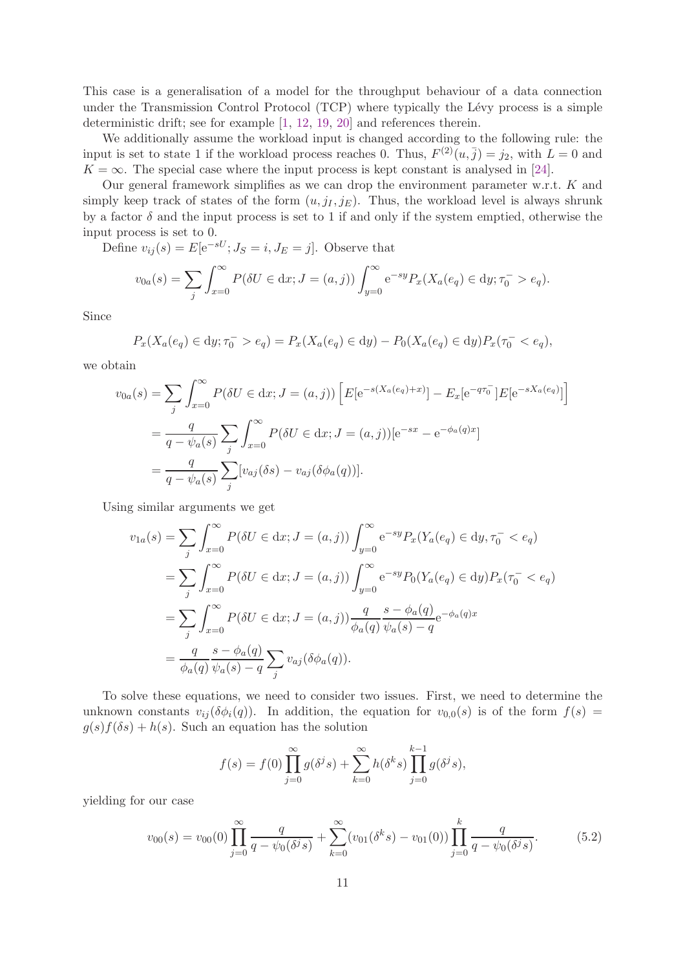This case is a generalisation of a model for the throughput behaviour of a data connection under the Transmission Control Protocol  $(TCP)$  where typically the Lévy process is a simple deterministic drift; see for example [\[1,](#page-15-12) [12,](#page-15-13) [19,](#page-16-5) [20\]](#page-16-6) and references therein.

We additionally assume the workload input is changed according to the following rule: the input is set to state 1 if the workload process reaches 0. Thus,  $F^{(2)}(u, \bar{j}) = j_2$ , with  $L = 0$  and  $K = \infty$ . The special case where the input process is kept constant is analysed in [\[24\]](#page-16-7).

Our general framework simplifies as we can drop the environment parameter w.r.t. K and simply keep track of states of the form  $(u, j_I, j_E)$ . Thus, the workload level is always shrunk by a factor  $\delta$  and the input process is set to 1 if and only if the system emptied, otherwise the input process is set to 0.

Define  $v_{ij}(s) = E[e^{-sU}; J_S = i, J_E = j]$ . Observe that

$$
v_{0a}(s) = \sum_{j} \int_{x=0}^{\infty} P(\delta U \in dx; J = (a, j)) \int_{y=0}^{\infty} e^{-sy} P_x(X_a(e_q) \in dy; \tau_0^- > e_q).
$$

Since

$$
P_x(X_a(e_q) \in dy; \tau_0^- > e_q) = P_x(X_a(e_q) \in dy) - P_0(X_a(e_q) \in dy)P_x(\tau_0^- < e_q),
$$

we obtain

$$
v_{0a}(s) = \sum_{j} \int_{x=0}^{\infty} P(\delta U \in dx; J = (a, j)) \left[ E[e^{-s(X_a(e_q) + x)}] - E_x[e^{-q\tau_0}] E[e^{-sX_a(e_q)}] \right]
$$
  
=  $\frac{q}{q - \psi_a(s)} \sum_{j} \int_{x=0}^{\infty} P(\delta U \in dx; J = (a, j)) [e^{-sx} - e^{-\phi_a(q)x}]$   
=  $\frac{q}{q - \psi_a(s)} \sum_{j} [v_{aj}(\delta s) - v_{aj}(\delta \phi_a(q))].$ 

Using similar arguments we get

$$
v_{1a}(s) = \sum_{j} \int_{x=0}^{\infty} P(\delta U \in dx; J = (a, j)) \int_{y=0}^{\infty} e^{-sy} P_x(Y_a(e_q) \in dy, \tau_0^- < e_q)
$$
  
\n
$$
= \sum_{j} \int_{x=0}^{\infty} P(\delta U \in dx; J = (a, j)) \int_{y=0}^{\infty} e^{-sy} P_0(Y_a(e_q) \in dy) P_x(\tau_0^- < e_q)
$$
  
\n
$$
= \sum_{j} \int_{x=0}^{\infty} P(\delta U \in dx; J = (a, j)) \frac{q}{\phi_a(q)} \frac{s - \phi_a(q)}{\psi_a(s) - q} e^{-\phi_a(q)x}
$$
  
\n
$$
= \frac{q}{\phi_a(q)} \frac{s - \phi_a(q)}{\psi_a(s) - q} \sum_{j} v_{aj}(\delta \phi_a(q)).
$$

To solve these equations, we need to consider two issues. First, we need to determine the unknown constants  $v_{ii}(\delta\phi_i(q))$ . In addition, the equation for  $v_{0,0}(s)$  is of the form  $f(s)$  $g(s)f(\delta s) + h(s)$ . Such an equation has the solution

$$
f(s) = f(0) \prod_{j=0}^{\infty} g(\delta^{j} s) + \sum_{k=0}^{\infty} h(\delta^{k} s) \prod_{j=0}^{k-1} g(\delta^{j} s),
$$

yielding for our case

<span id="page-10-0"></span>
$$
v_{00}(s) = v_{00}(0) \prod_{j=0}^{\infty} \frac{q}{q - \psi_0(\delta^j s)} + \sum_{k=0}^{\infty} (v_{01}(\delta^k s) - v_{01}(0)) \prod_{j=0}^k \frac{q}{q - \psi_0(\delta^j s)}.
$$
(5.2)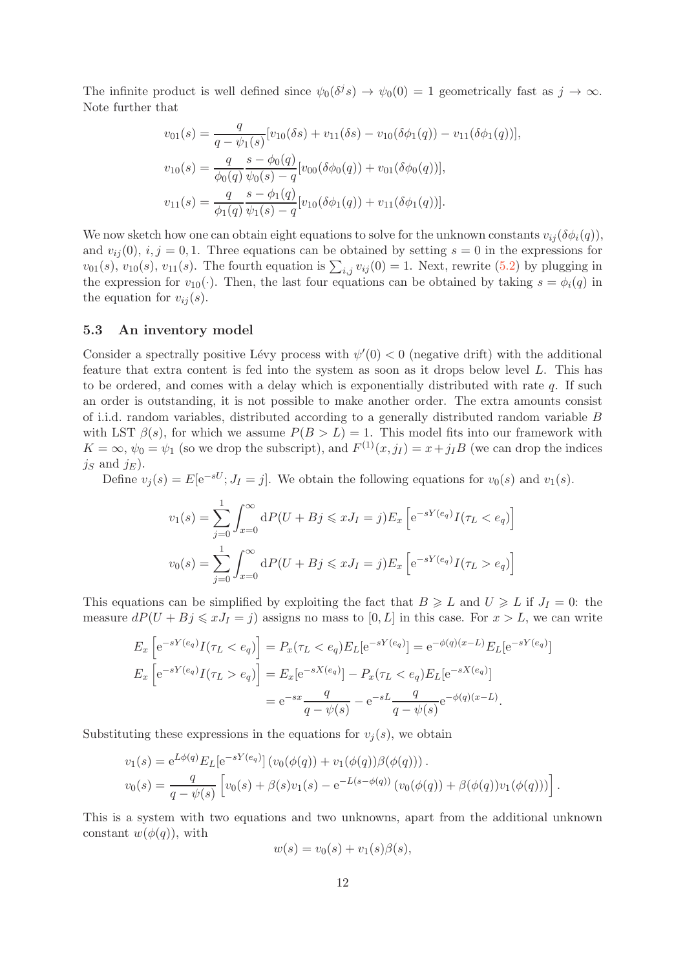The infinite product is well defined since  $\psi_0(\delta^j s) \to \psi_0(0) = 1$  geometrically fast as  $j \to \infty$ . Note further that

$$
v_{01}(s) = \frac{q}{q - \psi_1(s)} [v_{10}(\delta s) + v_{11}(\delta s) - v_{10}(\delta \phi_1(q)) - v_{11}(\delta \phi_1(q))],
$$
  
\n
$$
v_{10}(s) = \frac{q}{\phi_0(q)} \frac{s - \phi_0(q)}{\psi_0(s) - q} [v_{00}(\delta \phi_0(q)) + v_{01}(\delta \phi_0(q))],
$$
  
\n
$$
v_{11}(s) = \frac{q}{\phi_1(q)} \frac{s - \phi_1(q)}{\psi_1(s) - q} [v_{10}(\delta \phi_1(q)) + v_{11}(\delta \phi_1(q))].
$$

We now sketch how one can obtain eight equations to solve for the unknown constants  $v_{ii}(\delta\phi_i(q))$ , and  $v_{ij}(0)$ ,  $i, j = 0, 1$ . Three equations can be obtained by setting  $s = 0$  in the expressions for  $v_{01}(s)$ ,  $v_{10}(s)$ ,  $v_{11}(s)$ . The fourth equation is  $\sum_{i,j} v_{ij}(0) = 1$ . Next, rewrite  $(5.2)$  by plugging in the expression for  $v_{10}(\cdot)$ . Then, the last four equations can be obtained by taking  $s = \phi_i(q)$  in the equation for  $v_{ij}(s)$ .

#### 5.3 An inventory model

Consider a spectrally positive Lévy process with  $\psi'(0) < 0$  (negative drift) with the additional feature that extra content is fed into the system as soon as it drops below level L. This has to be ordered, and comes with a delay which is exponentially distributed with rate  $q$ . If such an order is outstanding, it is not possible to make another order. The extra amounts consist of i.i.d. random variables, distributed according to a generally distributed random variable B with LST  $\beta(s)$ , for which we assume  $P(B > L) = 1$ . This model fits into our framework with  $K = \infty$ ,  $\psi_0 = \psi_1$  (so we drop the subscript), and  $F^{(1)}(x, j_1) = x + j_1 B$  (we can drop the indices  $j_S$  and  $j_E$ ).

Define  $v_j(s) = E[e^{-sU}; J_I = j]$ . We obtain the following equations for  $v_0(s)$  and  $v_1(s)$ .

$$
v_1(s) = \sum_{j=0}^{1} \int_{x=0}^{\infty} dP(U + Bj \le xJ_I = j) E_x \left[ e^{-sY(e_q)} I(\tau_L < e_q) \right]
$$
  

$$
v_0(s) = \sum_{j=0}^{1} \int_{x=0}^{\infty} dP(U + Bj \le xJ_I = j) E_x \left[ e^{-sY(e_q)} I(\tau_L > e_q) \right]
$$

This equations can be simplified by exploiting the fact that  $B \ge L$  and  $U \ge L$  if  $J_I = 0$ : the measure  $dP(U + Bj \leq xJ_I = j)$  assigns no mass to  $[0, L]$  in this case. For  $x > L$ , we can write

$$
E_x \left[ e^{-sY(e_q)} I(\tau_L < e_q) \right] = P_x(\tau_L < e_q) E_L[e^{-sY(e_q)}] = e^{-\phi(q)(x-L)} E_L[e^{-sY(e_q)}]
$$
  
\n
$$
E_x \left[ e^{-sY(e_q)} I(\tau_L > e_q) \right] = E_x[e^{-sX(e_q)}] - P_x(\tau_L < e_q) E_L[e^{-sX(e_q)}]
$$
  
\n
$$
= e^{-sx} \frac{q}{q - \psi(s)} - e^{-sL} \frac{q}{q - \psi(s)} e^{-\phi(q)(x-L)}.
$$

Substituting these expressions in the equations for  $v_j(s)$ , we obtain

$$
v_1(s) = e^{L\phi(q)} E_L[e^{-sY(e_q)}] (v_0(\phi(q)) + v_1(\phi(q))\beta(\phi(q))).
$$
  

$$
v_0(s) = \frac{q}{q - \psi(s)} [v_0(s) + \beta(s)v_1(s) - e^{-L(s - \phi(q))} (v_0(\phi(q)) + \beta(\phi(q))v_1(\phi(q)))].
$$

This is a system with two equations and two unknowns, apart from the additional unknown constant  $w(\phi(q))$ , with

$$
w(s) = v_0(s) + v_1(s)\beta(s),
$$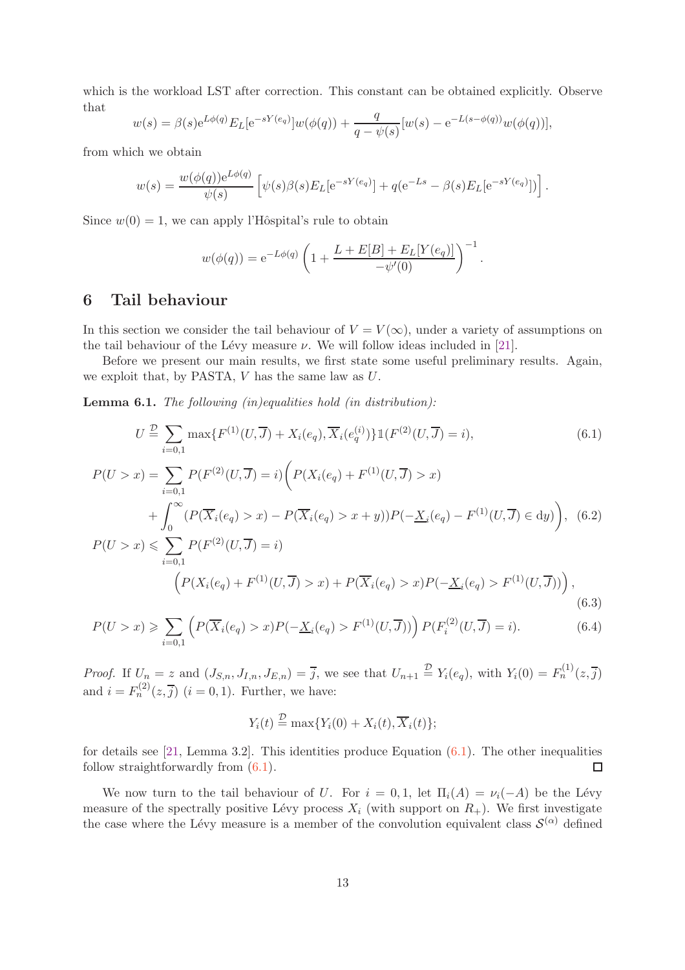which is the workload LST after correction. This constant can be obtained explicitly. Observe that

$$
w(s) = \beta(s)e^{L\phi(q)}E_L[e^{-sY(e_q)}]w(\phi(q)) + \frac{q}{q-\psi(s)}[w(s) - e^{-L(s-\phi(q))}w(\phi(q))],
$$

from which we obtain

$$
w(s) = \frac{w(\phi(q))e^{L\phi(q)}}{\psi(s)} \left[ \psi(s)\beta(s)E_L[e^{-sY(e_q)}] + q(e^{-Ls} - \beta(s)E_L[e^{-sY(e_q)}]) \right].
$$

Since  $w(0) = 1$ , we can apply l'Hôspital's rule to obtain

<span id="page-12-1"></span>
$$
w(\phi(q)) = e^{-L\phi(q)} \left( 1 + \frac{L + E[B] + E_L[Y(e_q)]}{-\psi'(0)} \right)^{-1}.
$$

# <span id="page-12-0"></span>6 Tail behaviour

In this section we consider the tail behaviour of  $V = V(\infty)$ , under a variety of assumptions on the tail behaviour of the Lévy measure  $\nu$ . We will follow ideas included in [\[21\]](#page-16-0).

Before we present our main results, we first state some useful preliminary results. Again, we exploit that, by PASTA,  $V$  has the same law as  $U$ .

<span id="page-12-3"></span>Lemma 6.1. *The following (in)equalities hold (in distribution):*

$$
U \stackrel{\mathcal{D}}{=} \sum_{i=0,1} \max\{F^{(1)}(U,\overline{J}) + X_i(e_q), \overline{X}_i(e_q^{(i)})\} \mathbb{1}(F^{(2)}(U,\overline{J}) = i),
$$
(6.1)  
\n
$$
P(U > x) = \sum_{i=0,1} P(F^{(2)}(U,\overline{J}) = i) \left( P(X_i(e_q) + F^{(1)}(U,\overline{J}) > x) + \int_0^\infty (P(\overline{X}_i(e_q) > x) - P(\overline{X}_i(e_q) > x + y))P(-\underline{X}_i(e_q) - F^{(1)}(U,\overline{J}) \in dy) \right),
$$
(6.2)  
\n
$$
P(U > x) \leqslant \sum_{i=0,1} P(F^{(2)}(U,\overline{J}) = i)
$$
  
\n
$$
\left( P(X_i(e_q) + F^{(1)}(U,\overline{J}) > x) + P(\overline{X}_i(e_q) > x)P(-\underline{X}_i(e_q) > F^{(1)}(U,\overline{J})) \right),
$$
(6.3)

$$
P(U > x) \geq \sum_{i=0,1} \left( P(\overline{X}_i(e_q) > x) P(-\underline{X}_i(e_q) > F^{(1)}(U, \overline{J})) \right) P(F_i^{(2)}(U, \overline{J}) = i).
$$
 (6.4)

*Proof.* If  $U_n = z$  and  $(J_{S,n}, J_{I,n}, J_{E,n}) = \overline{j}$ , we see that  $U_{n+1} \stackrel{\mathcal{D}}{=} Y_i(e_q)$ , with  $Y_i(0) = F_n^{(1)}(z, \overline{j})$ and  $i = F_n^{(2)}(z, \overline{j})$   $(i = 0, 1)$ . Further, we have:

<span id="page-12-5"></span><span id="page-12-4"></span><span id="page-12-2"></span>
$$
Y_i(t) \stackrel{\mathcal{D}}{=} \max\{Y_i(0) + X_i(t), \overline{X}_i(t)\};
$$

for details see [\[21,](#page-16-0) Lemma 3.2]. This identities produce Equation  $(6.1)$ . The other inequalities follow straightforwardly from [\(6.1\)](#page-12-1).  $\Box$ 

We now turn to the tail behaviour of U. For  $i = 0, 1$ , let  $\Pi_i(A) = \nu_i(-A)$  be the Lévy measure of the spectrally positive Lévy process  $X_i$  (with support on  $R_+$ ). We first investigate the case where the Lévy measure is a member of the convolution equivalent class  $\mathcal{S}^{(\alpha)}$  defined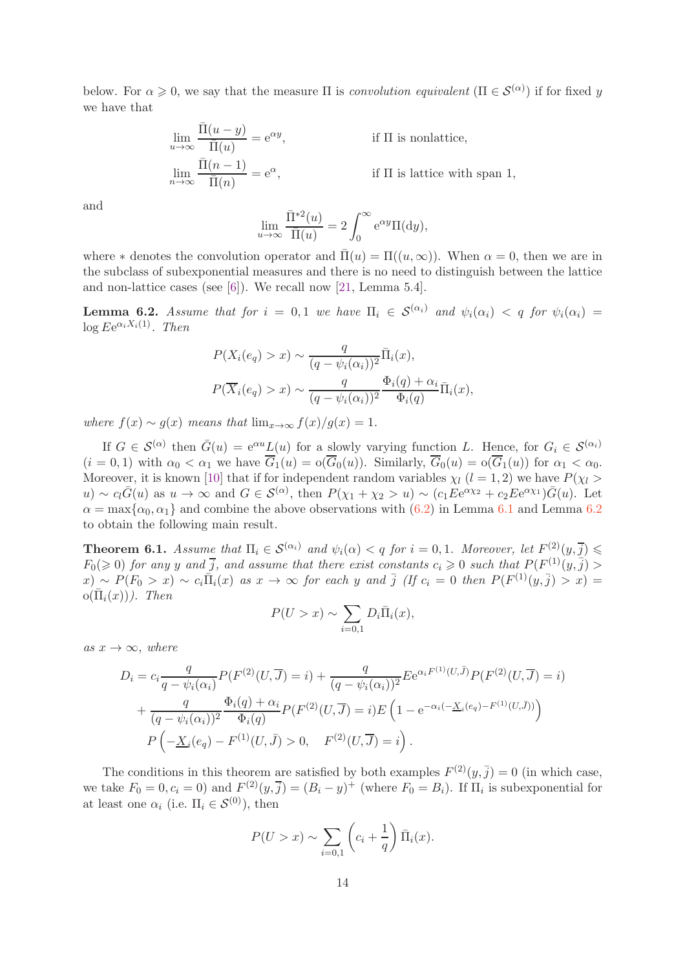below. For  $\alpha \geq 0$ , we say that the measure  $\Pi$  is *convolution equivalent*  $(\Pi \in \mathcal{S}^{(\alpha)})$  if for fixed y we have that

$$
\lim_{u \to \infty} \frac{\overline{\Pi}(u - y)}{\overline{\Pi}(u)} = e^{\alpha y},
$$
 if  $\Pi$  is nonlattice,  

$$
\lim_{n \to \infty} \frac{\overline{\Pi}(n - 1)}{\overline{\Pi}(n)} = e^{\alpha},
$$
 if  $\Pi$  is lattice with span 1,

and

$$
\lim_{u \to \infty} \frac{\bar{\Pi}^{*2}(u)}{\bar{\Pi}(u)} = 2 \int_0^\infty e^{\alpha y} \Pi(\mathrm{d}y),
$$

where  $*$  denotes the convolution operator and  $\overline{\Pi}(u) = \Pi((u,\infty))$ . When  $\alpha = 0$ , then we are in the subclass of subexponential measures and there is no need to distinguish between the lattice and non-lattice cases (see [\[6\]](#page-15-14)). We recall now [\[21,](#page-16-0) Lemma 5.4].

<span id="page-13-0"></span>**Lemma 6.2.** *Assume that for*  $i = 0, 1$  *we have*  $\Pi_i \in S^{(\alpha_i)}$  *and*  $\psi_i(\alpha_i) < q$  *for*  $\psi_i(\alpha_i) =$  $\log Ee^{\alpha_i X_i(1)}$ . Then

$$
P(X_i(e_q) > x) \sim \frac{q}{(q - \psi_i(\alpha_i))^2} \overline{\Pi}_i(x),
$$
  

$$
P(\overline{X}_i(e_q) > x) \sim \frac{q}{(q - \psi_i(\alpha_i))^2} \frac{\Phi_i(q) + \alpha_i}{\Phi_i(q)} \overline{\Pi}_i(x),
$$

*where*  $f(x) \sim g(x)$  *means that*  $\lim_{x \to \infty} f(x)/g(x) = 1$ *.* 

If  $G \in \mathcal{S}^{(\alpha)}$  then  $\bar{G}(u) = e^{\alpha u} L(u)$  for a slowly varying function L. Hence, for  $G_i \in \mathcal{S}^{(\alpha_i)}$  $(i = 0, 1)$  with  $\alpha_0 < \alpha_1$  we have  $\overline{G}_1(u) = o(\overline{G}_0(u))$ . Similarly,  $\overline{G}_0(u) = o(\overline{G}_1(u))$  for  $\alpha_1 < \alpha_0$ . Moreover, it is known [\[10\]](#page-15-15) that if for independent random variables  $\chi_l$  ( $l = 1, 2$ ) we have  $P(\chi_l >$ u) ~  $c_l\bar{G}(u)$  as  $u \to \infty$  and  $G \in \mathcal{S}^{(\alpha)}$ , then  $P(\chi_1 + \chi_2 > u) \sim (c_1 E e^{\alpha \chi_2} + c_2 E e^{\alpha \chi_1}) \bar{G}(u)$ . Let  $\alpha = \max{\alpha_0, \alpha_1}$  and combine the above observations with  $(6.2)$  $(6.2)$  $(6.2)$  in Lemma [6.1](#page-12-3) and Lemma 6.2 to obtain the following main result.

**Theorem 6.1.** Assume that  $\Pi_i \in \mathcal{S}^{(\alpha_i)}$  and  $\psi_i(\alpha) < q$  for  $i = 0, 1$ . Moreover, let  $F^{(2)}(y, \overline{j}) \leq$  $F_0(\geqslant 0)$  for any y and  $\overline{j}$ , and assume that there exist constants  $c_i \geqslant 0$  such that  $P(F^{(1)}(y, \overline{j}) >$  $f(x) \sim P(F_0 > x) \sim c_i \bar{\Pi}_i(x)$  as  $x \to \infty$  for each y and  $\bar{j}$  (If  $c_i = 0$  then  $P(F^{(1)}(y, \bar{j}) > x) = 0$  $o(\overline{\Pi}_i(x))$ *). Then* 

$$
P(U > x) \sim \sum_{i=0,1} D_i \bar{\Pi}_i(x),
$$

 $as x \rightarrow \infty$ *, where* 

$$
D_i = c_i \frac{q}{q - \psi_i(\alpha_i)} P(F^{(2)}(U, \overline{J}) = i) + \frac{q}{(q - \psi_i(\alpha_i))^2} E e^{\alpha_i F^{(1)}(U, \overline{J})} P(F^{(2)}(U, \overline{J}) = i)
$$
  
+ 
$$
\frac{q}{(q - \psi_i(\alpha_i))^2} \frac{\Phi_i(q) + \alpha_i}{\Phi_i(q)} P(F^{(2)}(U, \overline{J}) = i) E \left(1 - e^{-\alpha_i(-\underline{X}_i(e_q) - F^{(1)}(U, \overline{J}))}\right)
$$
  

$$
P \left(-\underline{X}_i(e_q) - F^{(1)}(U, \overline{J}) > 0, \quad F^{(2)}(U, \overline{J}) = i\right).
$$

The conditions in this theorem are satisfied by both examples  $F^{(2)}(y, \bar{j}) = 0$  (in which case, we take  $F_0 = 0, c_i = 0$  and  $F^{(2)}(y, \overline{j}) = (B_i - y)^+$  (where  $F_0 = B_i$ ). If  $\Pi_i$  is subexponential for at least one  $\alpha_i$  (i.e.  $\Pi_i \in \mathcal{S}^{(0)}$ ), then

$$
P(U > x) \sim \sum_{i=0,1} \left( c_i + \frac{1}{q} \right) \bar{\Pi}_i(x).
$$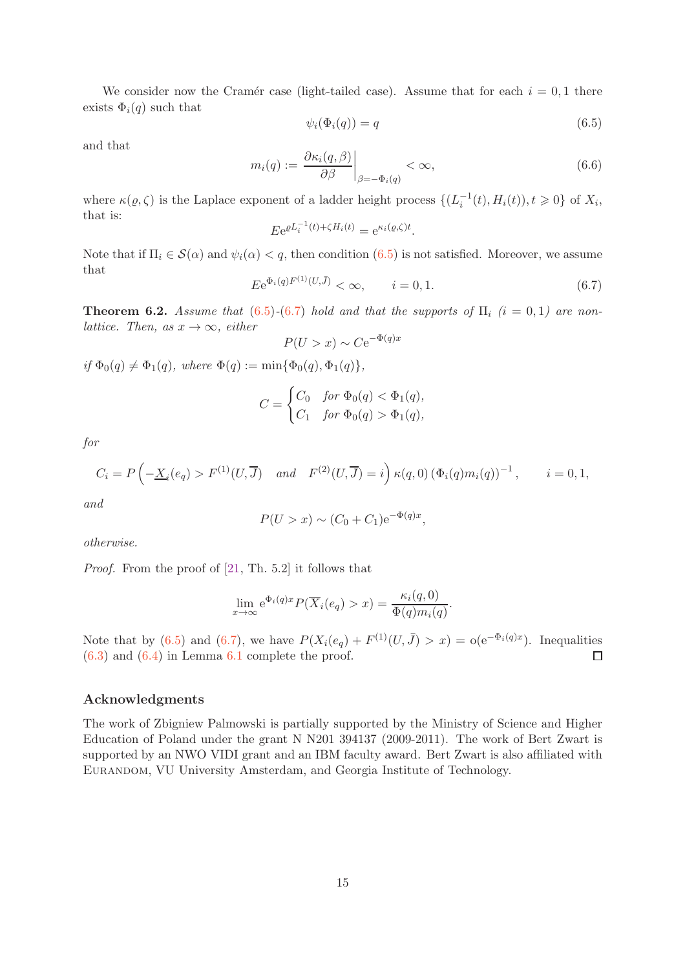We consider now the Cramér case (light-tailed case). Assume that for each  $i = 0, 1$  there exists  $\Phi_i(q)$  such that

<span id="page-14-0"></span>
$$
\psi_i(\Phi_i(q)) = q \tag{6.5}
$$

and that

$$
m_i(q) := \left. \frac{\partial \kappa_i(q, \beta)}{\partial \beta} \right|_{\beta = -\Phi_i(q)} < \infty,\tag{6.6}
$$

where  $\kappa(\varrho, \zeta)$  is the Laplace exponent of a ladder height process  $\{(L_i^{-1}(t), H_i(t)), t \geq 0\}$  of  $X_i$ , that is:

$$
E e^{\varrho L_i^{-1}(t) + \zeta H_i(t)} = e^{\kappa_i(\varrho, \zeta)t}.
$$

Note that if  $\Pi_i \in \mathcal{S}(\alpha)$  and  $\psi_i(\alpha) < q$ , then condition [\(6.5\)](#page-14-0) is not satisfied. Moreover, we assume that

<span id="page-14-1"></span>
$$
Ee^{\Phi_i(q)F^{(1)}(U,\bar{J})} < \infty, \qquad i = 0, 1. \tag{6.7}
$$

**Theorem 6.2.** *Assume that* [\(6.5\)](#page-14-0)–[\(6.7\)](#page-14-1) *hold and that the supports of*  $\Pi$ <sub>*i*</sub> (*i* = 0, 1) are non*lattice. Then, as*  $x \to \infty$ *, either*  $\Phi(q)x$ 

$$
P(U > x) \sim Ce^{-\Phi(q)}
$$

 $if \Phi_0(q) \neq \Phi_1(q)$ *, where*  $\Phi(q) := \min{\Phi_0(q), \Phi_1(q)}$ *,* 

$$
C = \begin{cases} C_0 & \text{for } \Phi_0(q) < \Phi_1(q), \\ C_1 & \text{for } \Phi_0(q) > \Phi_1(q), \end{cases}
$$

*for*

$$
C_i = P\left(-\underline{X}_i(e_q) > F^{(1)}(U, \overline{J}) \quad \text{and} \quad F^{(2)}(U, \overline{J}) = i\right) \kappa(q, 0) \left(\Phi_i(q) m_i(q)\right)^{-1}, \qquad i = 0, 1,
$$

*and*

$$
P(U > x) \sim (C_0 + C_1) e^{-\Phi(q)x},
$$

*otherwise.*

*Proof.* From the proof of [\[21,](#page-16-0) Th. 5.2] it follows that

$$
\lim_{x \to \infty} e^{\Phi_i(q)x} P(\overline{X}_i(e_q) > x) = \frac{\kappa_i(q,0)}{\Phi(q)m_i(q)}.
$$

Note that by [\(6.5\)](#page-14-0) and [\(6.7\)](#page-14-1), we have  $P(X_i(e_q) + F^{(1)}(U, \bar{J}) > x) = o(e^{-\Phi_i(q)x})$ . Inequalities  $(6.3)$  and  $(6.4)$  in Lemma [6.1](#page-12-3) complete the proof.  $\Box$ 

#### Acknowledgments

The work of Zbigniew Palmowski is partially supported by the Ministry of Science and Higher Education of Poland under the grant N N201 394137 (2009-2011). The work of Bert Zwart is supported by an NWO VIDI grant and an IBM faculty award. Bert Zwart is also affiliated with Eurandom, VU University Amsterdam, and Georgia Institute of Technology.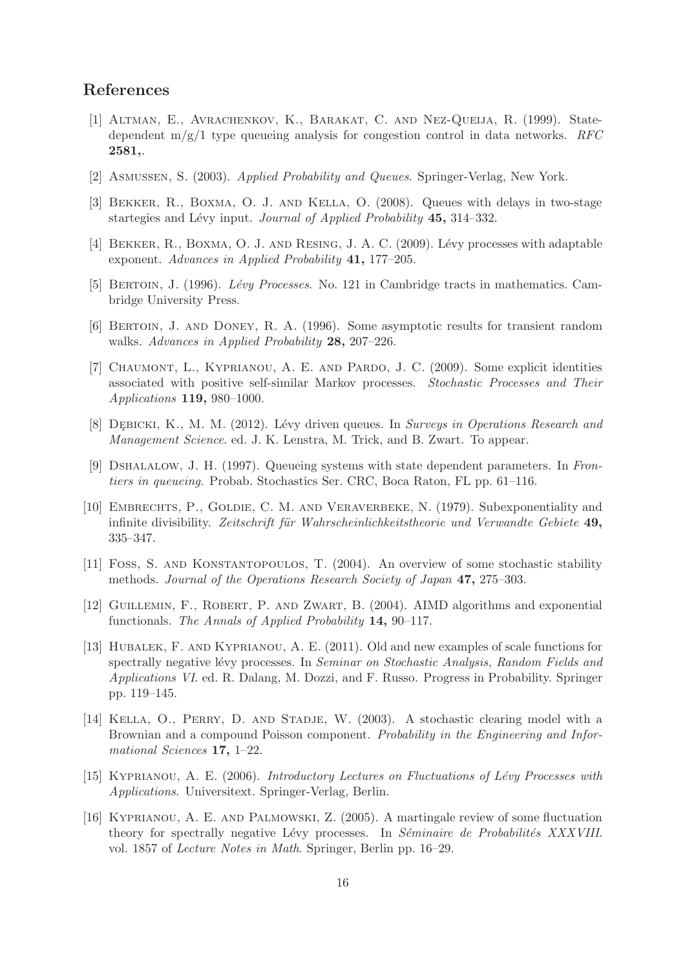# <span id="page-15-12"></span>References

- [1] Altman, E., Avrachenkov, K., Barakat, C. and Nez-Queija, R. (1999). Statedependent m/g/1 type queueing analysis for congestion control in data networks. *RFC* 2581,.
- <span id="page-15-10"></span><span id="page-15-2"></span>[2] Asmussen, S. (2003). *Applied Probability and Queues*. Springer-Verlag, New York.
- <span id="page-15-3"></span>[3] Bekker, R., Boxma, O. J. and Kella, O. (2008). Queues with delays in two-stage startegies and Lévy input. *Journal of Applied Probability* 45, 314–332.
- <span id="page-15-8"></span>[4] BEKKER, R., BOXMA, O. J. AND RESING, J. A. C. (2009). Lévy processes with adaptable exponent. *Advances in Applied Probability* 41, 177–205.
- <span id="page-15-14"></span>[5] Bertoin, J. (1996). *L´evy Processes*. No. 121 in Cambridge tracts in mathematics. Cambridge University Press.
- <span id="page-15-6"></span>[6] Bertoin, J. and Doney, R. A. (1996). Some asymptotic results for transient random walks. *Advances in Applied Probability* 28, 207–226.
- [7] Chaumont, L., Kyprianou, A. E. and Pardo, J. C. (2009). Some explicit identities associated with positive self-similar Markov processes. *Stochastic Processes and Their Applications* 119, 980–1000.
- <span id="page-15-4"></span><span id="page-15-0"></span>[8] DEBICKI, K., M. M. (2012). Lévy driven queues. In *Surveys in Operations Research and Management Science*. ed. J. K. Lenstra, M. Trick, and B. Zwart. To appear.
- <span id="page-15-15"></span>[9] Dshalalow, J. H. (1997). Queueing systems with state dependent parameters. In *Frontiers in queueing*. Probab. Stochastics Ser. CRC, Boca Raton, FL pp. 61–116.
- [10] Embrechts, P., Goldie, C. M. and Veraverbeke, N. (1979). Subexponentiality and infinite divisibility. *Zeitschrift für Wahrscheinlichkeitstheorie und Verwandte Gebiete* 49, 335–347.
- <span id="page-15-11"></span>[11] Foss, S. and Konstantopoulos, T. (2004). An overview of some stochastic stability methods. *Journal of the Operations Research Society of Japan* 47, 275–303.
- <span id="page-15-13"></span>[12] Guillemin, F., Robert, P. and Zwart, B. (2004). AIMD algorithms and exponential functionals. *The Annals of Applied Probability* 14, 90–117.
- <span id="page-15-7"></span>[13] Hubalek, F. and Kyprianou, A. E. (2011). Old and new examples of scale functions for spectrally negative lévy processes. In *Seminar on Stochastic Analysis, Random Fields and Applications VI*. ed. R. Dalang, M. Dozzi, and F. Russo. Progress in Probability. Springer pp. 119–145.
- <span id="page-15-1"></span>[14] KELLA, O., PERRY, D. AND STADJE, W. (2003). A stochastic clearing model with a Brownian and a compound Poisson component. *Probability in the Engineering and Informational Sciences* 17, 1–22.
- <span id="page-15-5"></span>[15] Kyprianou, A. E. (2006). *Introductory Lectures on Fluctuations of L´evy Processes with Applications*. Universitext. Springer-Verlag, Berlin.
- <span id="page-15-9"></span>[16] Kyprianou, A. E. and Palmowski, Z. (2005). A martingale review of some fluctuation theory for spectrally negative Lévy processes. In *Séminaire de Probabilités XXXVIII*. vol. 1857 of *Lecture Notes in Math*. Springer, Berlin pp. 16–29.